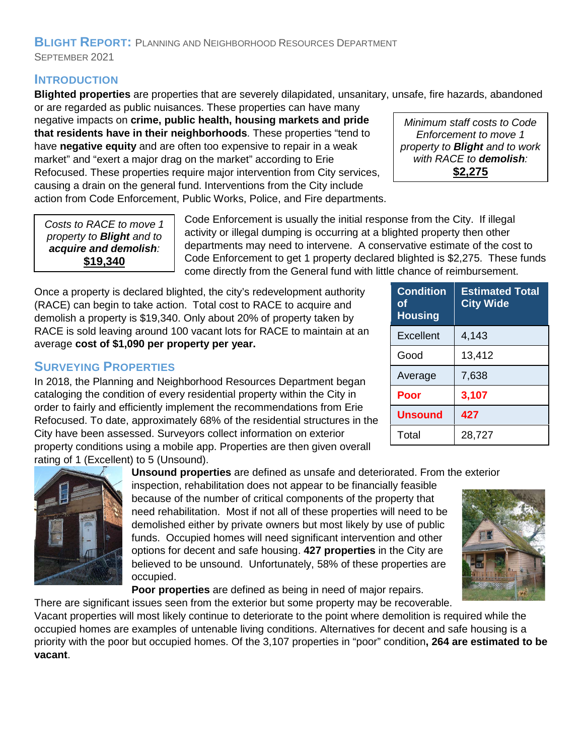## **BLIGHT REPORT:** PLANNING AND NEIGHBORHOOD RESOURCES DEPARTMENT SEPTEMBER 2021

#### **INTRODUCTION**

**Blighted properties** are properties that are severely dilapidated, unsanitary, unsafe, fire hazards, abandoned or are regarded as public nuisances. These properties can have many

negative impacts on **crime, public health, housing markets and pride that residents have in their neighborhoods**. These properties "tend to have **negative equity** and are often too expensive to repair in a weak market" and "exert a major drag on the market" according to Erie Refocused. These properties require major intervention from City services, causing a drain on the general fund. Interventions from the City include action from Code Enforcement, Public Works, Police, and Fire departments.

*Minimum staff costs to Code Enforcement to move 1 property to Blight and to work with RACE to demolish:* **\$2,275**

*Costs to RACE to move 1 property to Blight and to acquire and demolish:* **\$19,340**

Code Enforcement is usually the initial response from the City. If illegal activity or illegal dumping is occurring at a blighted property then other departments may need to intervene. A conservative estimate of the cost to Code Enforcement to get 1 property declared blighted is \$2,275. These funds come directly from the General fund with little chance of reimbursement.

**Condition**

**of** 

Once a property is declared blighted, the city's redevelopment authority (RACE) can begin to take action. Total cost to RACE to acquire and demolish a property is \$19,340. Only about 20% of property taken by RACE is sold leaving around 100 vacant lots for RACE to maintain at an average **cost of \$1,090 per property per year.**

## **SURVEYING PROPERTIES**

In 2018, the Planning and Neighborhood Resources Department began cataloging the condition of every residential property within the City in order to fairly and efficiently implement the recommendations from Erie Refocused. To date, approximately 68% of the residential structures in the City have been assessed. Surveyors collect information on exterior property conditions using a mobile app. Properties are then given overall rating of 1 (Excellent) to 5 (Unsound).

**Unsound properties** are defined as unsafe and deteriorated. From the exterior

inspection, rehabilitation does not appear to be financially feasible because of the number of critical components of the property that need rehabilitation. Most if not all of these properties will need to be demolished either by private owners but most likely by use of public funds. Occupied homes will need significant intervention and other options for decent and safe housing. **427 properties** in the City are believed to be unsound. Unfortunately, 58% of these properties are occupied.

**Poor properties** are defined as being in need of major repairs.

There are significant issues seen from the exterior but some property may be recoverable. Vacant properties will most likely continue to deteriorate to the point where demolition is required while the occupied homes are examples of untenable living conditions. Alternatives for decent and safe housing is a priority with the poor but occupied homes. Of the 3,107 properties in "poor" condition**, 264 are estimated to be vacant**.

| <b>Housing</b>   |        |
|------------------|--------|
| <b>Excellent</b> | 4,143  |
| Good             | 13,412 |
| Average          | 7,638  |
| Poor             | 3,107  |
| <b>Unsound</b>   | 427    |
| Total            | 28,727 |

**Estimated Total** 

**City Wide**